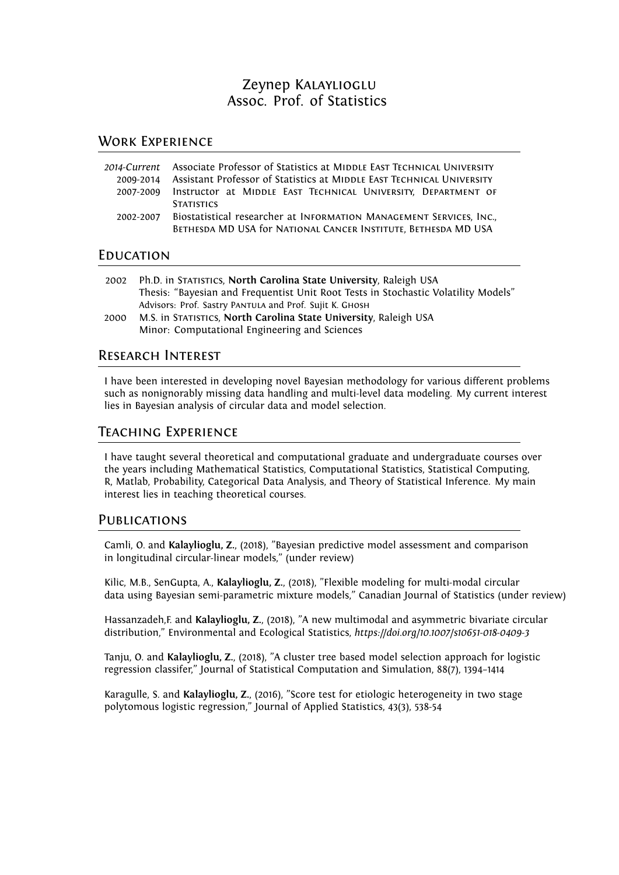# Zeynep Kalaylioglu Assoc. Prof. of Statistics

# Work Experience

| 2014-Current | Associate Professor of Statistics at MIDDLE EAST TECHNICAL UNIVERSITY |
|--------------|-----------------------------------------------------------------------|
| 2009-2014    | Assistant Professor of Statistics at MIDDLE EAST TECHNICAL UNIVERSITY |
| 2007-2009    | Instructor at MIDDLE EAST TECHNICAL UNIVERSITY, DEPARTMENT OF         |
|              | <b>STATISTICS</b>                                                     |
| 2002-2007    | Biostatistical researcher at INFORMATION MANAGEMENT SERVICES. INC     |
|              | BETHESDA MD USA for NATIONAL CANCER INSTITUTE. BETHESDA MD USA        |
|              |                                                                       |

# **EDUCATION**

- 2002 Ph.D. in Statistics, **North Carolina State University**, Raleigh USA Thesis: "Bayesian and Frequentist Unit Root Tests in Stochastic Volatility Models" Advisors: Prof. Sastry PANTULA and Prof. Sujit K. GHOSH
- 2000 M.S. in Statistics, **North Carolina State University**, Raleigh USA Minor: Computational Engineering and Sciences

# Research Interest

I have been interested in developing novel Bayesian methodology for various different problems such as nonignorably missing data handling and multi-level data modeling. My current interest lies in Bayesian analysis of circular data and model selection.

# Teaching Experience

I have taught several theoretical and computational graduate and undergraduate courses over the years including Mathematical Statistics, Computational Statistics, Statistical Computing, R, Matlab, Probability, Categorical Data Analysis, and Theory of Statistical Inference. My main interest lies in teaching theoretical courses.

# **PUBLICATIONS**

Camli, O. and **Kalaylioglu, Z.**, (2018), "Bayesian predictive model assessment and comparison in longitudinal circular-linear models," (under review)

Kilic, M.B., SenGupta, A., **Kalaylioglu, Z.**, (2018), "Flexible modeling for multi-modal circular data using Bayesian semi-parametric mixture models," Canadian Journal of Statistics (under review)

Hassanzadeh,F. and **Kalaylioglu, Z.**, (2018), "A new multimodal and asymmetric bivariate circular distribution," Environmental and Ecological Statistics, *https://doi.org/10.1007/s10651-018-0409-3*

Tanju, O. and **Kalaylioglu, Z.**, (2018), "A cluster tree based model selection approach for logistic regression classifer," Journal of Statistical Computation and Simulation, 88(7), 1394–1414

Karagulle, S. and **Kalaylioglu, Z.**, (2016), "Score test for etiologic heterogeneity in two stage polytomous logistic regression," Journal of Applied Statistics, 43(3), 538-54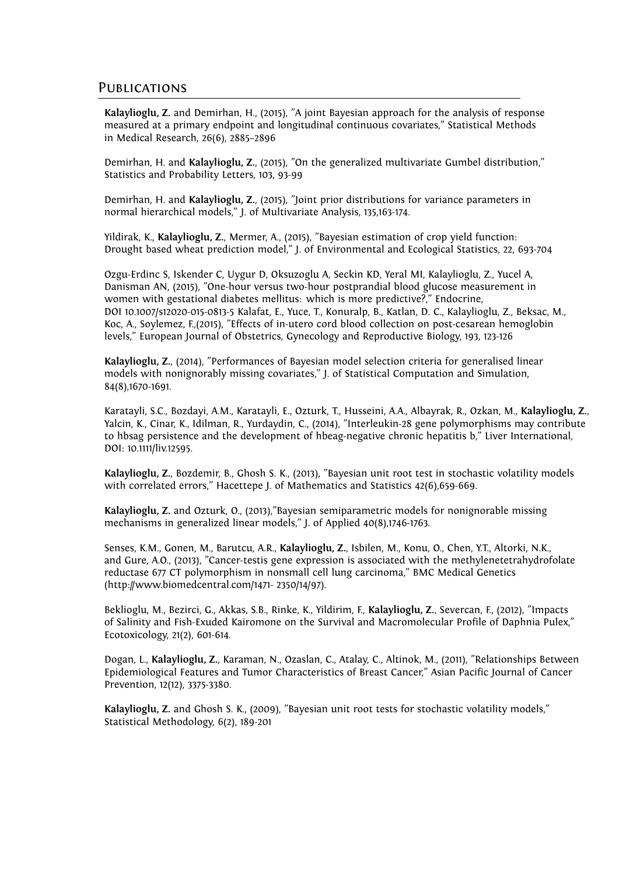### **PUBLICATIONS**

**Kalaylioglu, Z.** and Demirhan, H., (2015), "A joint Bayesian approach for the analysis of response measured at a primary endpoint and longitudinal continuous covariates," Statistical Methods in Medical Research, 26(6), 2885–2896

Demirhan, H. and **Kalaylioglu, Z.**, (2015), "On the generalized multivariate Gumbel distribution," Statistics and Probability Letters, 103, 93-99

Demirhan, H. and **Kalaylioglu, Z.**, (2015), "Joint prior distributions for variance parameters in normal hierarchical models," J. of Multivariate Analysis, 135,163-174.

Yildirak, K., **Kalaylioglu, Z.**, Mermer, A., (2015), "Bayesian estimation of crop yield function: Drought based wheat prediction model," J. of Environmental and Ecological Statistics, 22, 693-704

Ozgu-Erdinc S, Iskender C, Uygur D, Oksuzoglu A, Seckin KD, Yeral MI, Kalaylioglu, Z., Yucel A, Danisman AN, (2015), "One-hour versus two-hour postprandial blood glucose measurement in women with gestational diabetes mellitus: which is more predictive?," Endocrine, DOI 10.1007/s12020-015-0813-5 Kalafat, E., Yuce, T., Konuralp, B., Katlan, D. C., Kalaylioglu, Z., Beksac, M., Koc, A., Soylemez, F.,(2015), "Effects of in-utero cord blood collection on post-cesarean hemoglobin levels," European Journal of Obstetrics, Gynecology and Reproductive Biology, 193, 123-126

**Kalaylioglu, Z.**, (2014), "Performances of Bayesian model selection criteria for generalised linear models with nonignorably missing covariates," J. of Statistical Computation and Simulation, 84(8),1670-1691.

Karatayli, S.C., Bozdayi, A.M., Karatayli, E., Ozturk, T., Husseini, A.A., Albayrak, R., Ozkan, M., **Kalaylioglu, Z.**, Yalcin, K., Cinar, K., Idilman, R., Yurdaydin, C., (2014), "Interleukin-28 gene polymorphisms may contribute to hbsag persistence and the development of hbeag-negative chronic hepatitis b," Liver International, DOI: 10.1111/liv.12595.

**Kalaylioglu, Z.**, Bozdemir, B., Ghosh S. K., (2013), "Bayesian unit root test in stochastic volatility models with correlated errors," Hacettepe J. of Mathematics and Statistics 42(6),659-669.

**Kalaylioglu, Z.** and Ozturk, O., (2013),"Bayesian semiparametric models for nonignorable missing mechanisms in generalized linear models," J. of Applied 40(8),1746-1763.

Senses, K.M., Gonen, M., Barutcu, A.R., **Kalaylioglu, Z.**, Isbilen, M., Konu, O., Chen, Y.T., Altorki, N.K., and Gure, A.O., (2013), "Cancer-testis gene expression is associated with the methylenetetrahydrofolate reductase 677 CT polymorphism in nonsmall cell lung carcinoma," BMC Medical Genetics (http://www.biomedcentral.com/1471- 2350/14/97).

Beklioglu, M., Bezirci, G., Akkas, S.B., Rinke, K., Yildirim, F., **Kalaylioglu, Z.**, Severcan, F., (2012), "Impacts of Salinity and Fish-Exuded Kairomone on the Survival and Macromolecular Profile of Daphnia Pulex," Ecotoxicology, 21(2), 601-614.

Dogan, L., **Kalaylioglu, Z.**, Karaman, N., Ozaslan, C., Atalay, C., Altinok, M., (2011), "Relationships Between Epidemiological Features and Tumor Characteristics of Breast Cancer," Asian Pacific Journal of Cancer Prevention, 12(12), 3375-3380.

**Kalaylioglu, Z.** and Ghosh S. K., (2009), "Bayesian unit root tests for stochastic volatility models," Statistical Methodology, 6(2), 189-201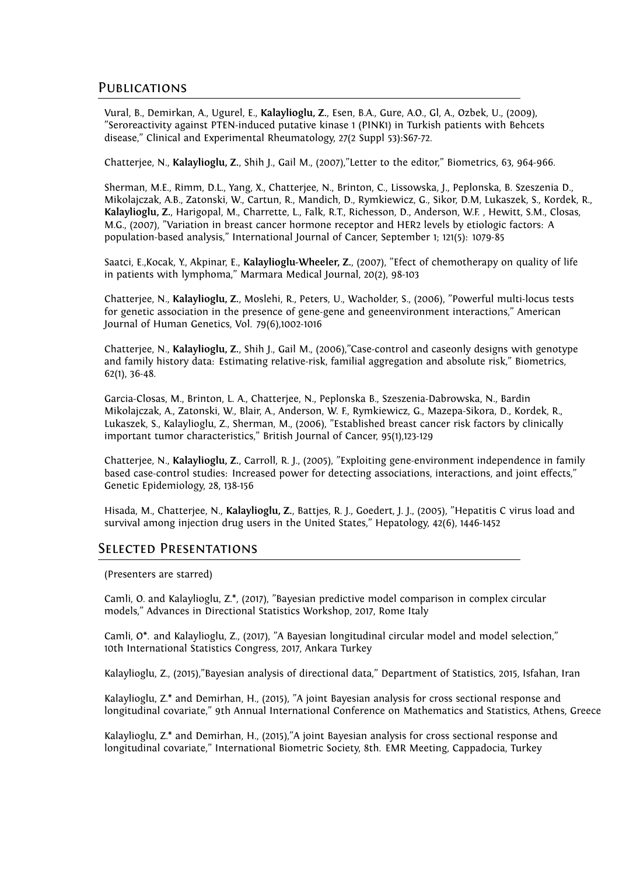### **PUBLICATIONS**

Vural, B., Demirkan, A., Ugurel, E., **Kalaylioglu, Z.**, Esen, B.A., Gure, A.O., Gl, A., Ozbek, U., (2009), "Seroreactivity against PTEN-induced putative kinase 1 (PINK1) in Turkish patients with Behcets disease," Clinical and Experimental Rheumatology, 27(2 Suppl 53):S67-72.

Chatterjee, N., **Kalaylioglu, Z.**, Shih J., Gail M., (2007),"Letter to the editor," Biometrics, 63, 964-966.

Sherman, M.E., Rimm, D.L., Yang, X., Chatterjee, N., Brinton, C., Lissowska, J., Peplonska, B. Szeszenia D., Mikolajczak, A.B., Zatonski, W., Cartun, R., Mandich, D., Rymkiewicz, G., Sikor, D.M, Lukaszek, S., Kordek, R., **Kalaylioglu, Z.**, Harigopal, M., Charrette, L., Falk, R.T., Richesson, D., Anderson, W.F. , Hewitt, S.M., Closas, M.G., (2007), "Variation in breast cancer hormone receptor and HER2 levels by etiologic factors: A population-based analysis," International Journal of Cancer, September 1; 121(5): 1079-85

Saatci, E.,Kocak, Y., Akpinar, E., **Kalaylioglu-Wheeler, Z.**, (2007), "Efect of chemotherapy on quality of life in patients with lymphoma," Marmara Medical Journal, 20(2), 98-103

Chatterjee, N., **Kalaylioglu, Z.**, Moslehi, R., Peters, U., Wacholder, S., (2006), "Powerful multi-locus tests for genetic association in the presence of gene-gene and geneenvironment interactions," American Journal of Human Genetics, Vol. 79(6),1002-1016

Chatterjee, N., **Kalaylioglu, Z.**, Shih J., Gail M., (2006),"Case-control and caseonly designs with genotype and family history data: Estimating relative-risk, familial aggregation and absolute risk," Biometrics, 62(1), 36-48.

Garcia-Closas, M., Brinton, L. A., Chatterjee, N., Peplonska B., Szeszenia-Dabrowska, N., Bardin Mikolajczak, A., Zatonski, W., Blair, A., Anderson, W. F., Rymkiewicz, G., Mazepa-Sikora, D., Kordek, R., Lukaszek, S., Kalaylioglu, Z., Sherman, M., (2006), "Established breast cancer risk factors by clinically important tumor characteristics," British Journal of Cancer, 95(1),123-129

Chatterjee, N., **Kalaylioglu, Z.**, Carroll, R. J., (2005), "Exploiting gene-environment independence in family based case-control studies: Increased power for detecting associations, interactions, and joint effects," Genetic Epidemiology, 28, 138-156

Hisada, M., Chatterjee, N., **Kalaylioglu, Z.**, Battjes, R. J., Goedert, J. J., (2005), "Hepatitis C virus load and survival among injection drug users in the United States," Hepatology, 42(6), 1446-1452

#### Selected Presentations

(Presenters are starred)

Camli, O. and Kalaylioglu, Z.\*, (2017), "Bayesian predictive model comparison in complex circular models," Advances in Directional Statistics Workshop, 2017, Rome Italy

Camli, O\*. and Kalaylioglu, Z., (2017), "A Bayesian longitudinal circular model and model selection," 10th International Statistics Congress, 2017, Ankara Turkey

Kalaylioglu, Z., (2015),"Bayesian analysis of directional data," Department of Statistics, 2015, Isfahan, Iran

Kalaylioglu, Z.\* and Demirhan, H., (2015), "A joint Bayesian analysis for cross sectional response and longitudinal covariate," 9th Annual International Conference on Mathematics and Statistics, Athens, Greece

Kalaylioglu, Z.\* and Demirhan, H., (2015),"A joint Bayesian analysis for cross sectional response and longitudinal covariate," International Biometric Society, 8th. EMR Meeting, Cappadocia, Turkey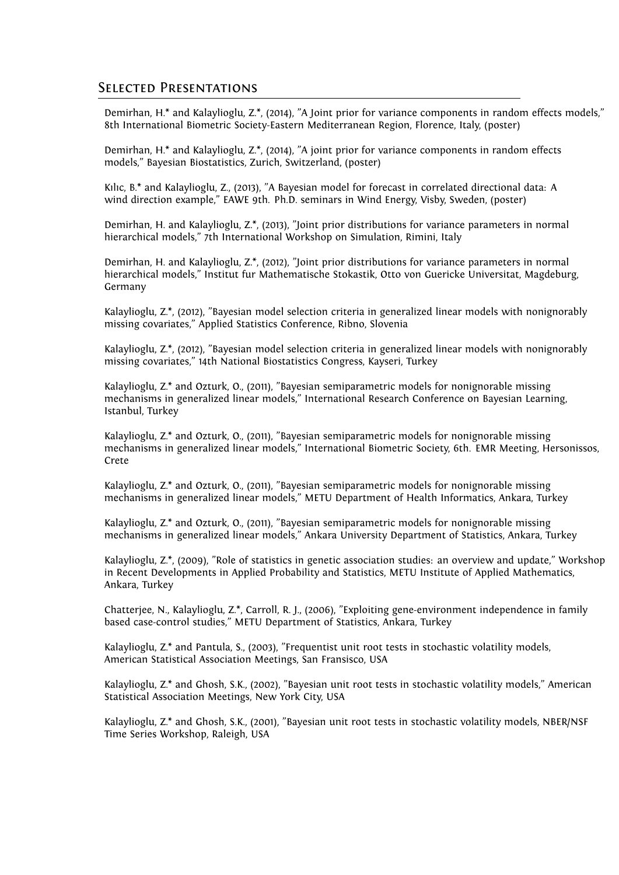### Selected Presentations

Demirhan, H.\* and Kalaylioglu, Z.\*, (2014), "A Joint prior for variance components in random effects models," 8th International Biometric Society-Eastern Mediterranean Region, Florence, Italy, (poster)

Demirhan, H.\* and Kalaylioglu, Z.\*, (2014), "A joint prior for variance components in random effects models," Bayesian Biostatistics, Zurich, Switzerland, (poster)

Kılıc, B.\* and Kalaylioglu, Z., (2013), "A Bayesian model for forecast in correlated directional data: A wind direction example," EAWE 9th. Ph.D. seminars in Wind Energy, Visby, Sweden, (poster)

Demirhan, H. and Kalaylioglu, Z.\*, (2013), "Joint prior distributions for variance parameters in normal hierarchical models," 7th International Workshop on Simulation, Rimini, Italy

Demirhan, H. and Kalaylioglu, Z.\*, (2012), "Joint prior distributions for variance parameters in normal hierarchical models," Institut fur Mathematische Stokastik, Otto von Guericke Universitat, Magdeburg, Germany

Kalaylioglu, Z.\*, (2012), "Bayesian model selection criteria in generalized linear models with nonignorably missing covariates," Applied Statistics Conference, Ribno, Slovenia

Kalaylioglu, Z.\*, (2012), "Bayesian model selection criteria in generalized linear models with nonignorably missing covariates," 14th National Biostatistics Congress, Kayseri, Turkey

Kalaylioglu, Z.\* and Ozturk, O., (2011), "Bayesian semiparametric models for nonignorable missing mechanisms in generalized linear models," International Research Conference on Bayesian Learning, Istanbul, Turkey

Kalaylioglu, Z.\* and Ozturk, O., (2011), "Bayesian semiparametric models for nonignorable missing mechanisms in generalized linear models," International Biometric Society, 6th. EMR Meeting, Hersonissos, Crete

Kalaylioglu,  $Z^*$  and Ozturk, O., (2011), "Bayesian semiparametric models for nonignorable missing mechanisms in generalized linear models," METU Department of Health Informatics, Ankara, Turkey

Kalaylioglu, Z.\* and Ozturk, O., (2011), "Bayesian semiparametric models for nonignorable missing mechanisms in generalized linear models," Ankara University Department of Statistics, Ankara, Turkey

Kalaylioglu, Z.\*, (2009), "Role of statistics in genetic association studies: an overview and update," Workshop in Recent Developments in Applied Probability and Statistics, METU Institute of Applied Mathematics, Ankara, Turkey

Chatterjee, N., Kalaylioglu, Z.\*, Carroll, R. J., (2006), "Exploiting gene-environment independence in family based case-control studies," METU Department of Statistics, Ankara, Turkey

Kalaylioglu, Z.\* and Pantula, S., (2003), "Frequentist unit root tests in stochastic volatility models, American Statistical Association Meetings, San Fransisco, USA

Kalaylioglu, Z.\* and Ghosh, S.K., (2002), "Bayesian unit root tests in stochastic volatility models," American Statistical Association Meetings, New York City, USA

Kalaylioglu, Z.\* and Ghosh, S.K., (2001), "Bayesian unit root tests in stochastic volatility models, NBER/NSF Time Series Workshop, Raleigh, USA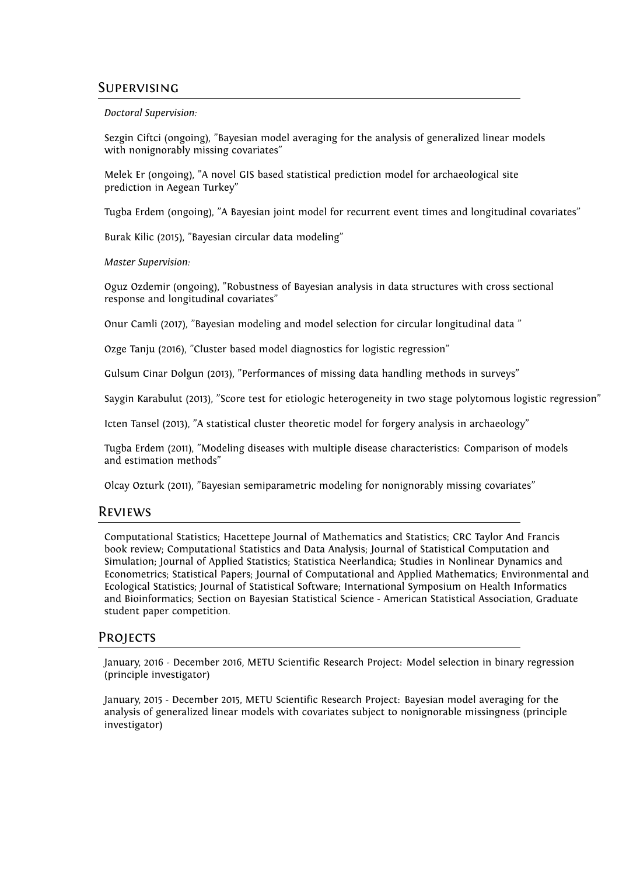### Supervising

#### *Doctoral Supervision:*

Sezgin Ciftci (ongoing), "Bayesian model averaging for the analysis of generalized linear models with nonignorably missing covariates"

Melek Er (ongoing), "A novel GIS based statistical prediction model for archaeological site prediction in Aegean Turkey"

Tugba Erdem (ongoing), "A Bayesian joint model for recurrent event times and longitudinal covariates"

Burak Kilic (2015), "Bayesian circular data modeling"

#### *Master Supervision:*

Oguz Ozdemir (ongoing), "Robustness of Bayesian analysis in data structures with cross sectional response and longitudinal covariates"

Onur Camli (2017), "Bayesian modeling and model selection for circular longitudinal data "

Ozge Tanju (2016), "Cluster based model diagnostics for logistic regression"

Gulsum Cinar Dolgun (2013), "Performances of missing data handling methods in surveys"

Saygin Karabulut (2013), "Score test for etiologic heterogeneity in two stage polytomous logistic regression"

Icten Tansel (2013), "A statistical cluster theoretic model for forgery analysis in archaeology"

Tugba Erdem (2011), "Modeling diseases with multiple disease characteristics: Comparison of models and estimation methods"

Olcay Ozturk (2011), "Bayesian semiparametric modeling for nonignorably missing covariates"

# Reviews

Computational Statistics; Hacettepe Journal of Mathematics and Statistics; CRC Taylor And Francis book review; Computational Statistics and Data Analysis; Journal of Statistical Computation and Simulation; Journal of Applied Statistics; Statistica Neerlandica; Studies in Nonlinear Dynamics and Econometrics; Statistical Papers; Journal of Computational and Applied Mathematics; Environmental and Ecological Statistics; Journal of Statistical Software; International Symposium on Health Informatics and Bioinformatics; Section on Bayesian Statistical Science - American Statistical Association, Graduate student paper competition.

# PROJECTS

January, 2016 - December 2016, METU Scientific Research Project: Model selection in binary regression (principle investigator)

January, 2015 - December 2015, METU Scientific Research Project: Bayesian model averaging for the analysis of generalized linear models with covariates subject to nonignorable missingness (principle investigator)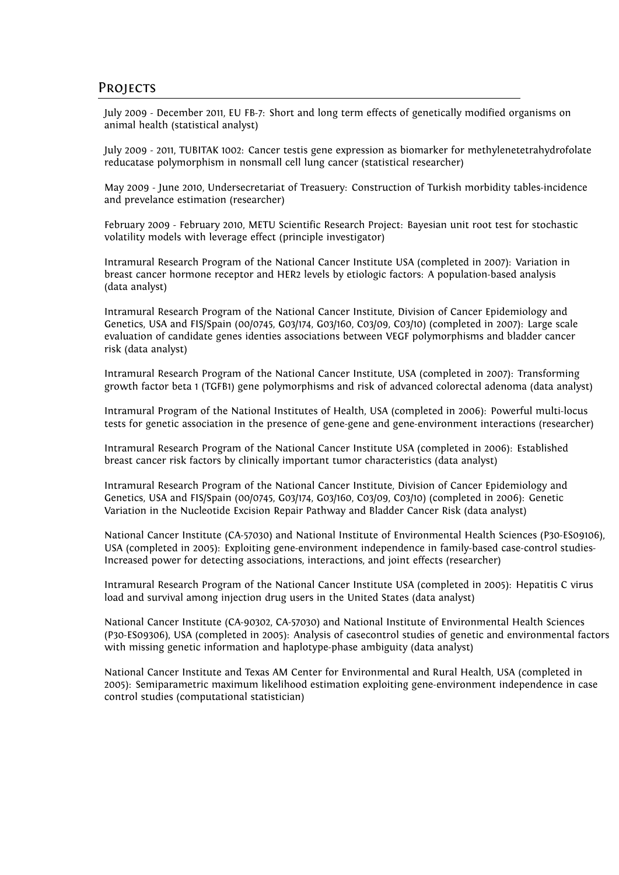### PROJECTS

July 2009 - December 2011, EU FB-7: Short and long term effects of genetically modified organisms on animal health (statistical analyst)

July 2009 - 2011, TUBITAK 1002: Cancer testis gene expression as biomarker for methylenetetrahydrofolate reducatase polymorphism in nonsmall cell lung cancer (statistical researcher)

May 2009 - June 2010, Undersecretariat of Treasuery: Construction of Turkish morbidity tables-incidence and prevelance estimation (researcher)

February 2009 - February 2010, METU Scientific Research Project: Bayesian unit root test for stochastic volatility models with leverage effect (principle investigator)

Intramural Research Program of the National Cancer Institute USA (completed in 2007): Variation in breast cancer hormone receptor and HER2 levels by etiologic factors: A population-based analysis (data analyst)

Intramural Research Program of the National Cancer Institute, Division of Cancer Epidemiology and Genetics, USA and FIS/Spain (00/0745, G03/174, G03/160, C03/09, C03/10) (completed in 2007): Large scale evaluation of candidate genes identies associations between VEGF polymorphisms and bladder cancer risk (data analyst)

Intramural Research Program of the National Cancer Institute, USA (completed in 2007): Transforming growth factor beta 1 (TGFB1) gene polymorphisms and risk of advanced colorectal adenoma (data analyst)

Intramural Program of the National Institutes of Health, USA (completed in 2006): Powerful multi-locus tests for genetic association in the presence of gene-gene and gene-environment interactions (researcher)

Intramural Research Program of the National Cancer Institute USA (completed in 2006): Established breast cancer risk factors by clinically important tumor characteristics (data analyst)

Intramural Research Program of the National Cancer Institute, Division of Cancer Epidemiology and Genetics, USA and FIS/Spain (00/0745, G03/174, G03/160, C03/09, C03/10) (completed in 2006): Genetic Variation in the Nucleotide Excision Repair Pathway and Bladder Cancer Risk (data analyst)

National Cancer Institute (CA-57030) and National Institute of Environmental Health Sciences (P30-ES09106), USA (completed in 2005): Exploiting gene-environment independence in family-based case-control studies-Increased power for detecting associations, interactions, and joint effects (researcher)

Intramural Research Program of the National Cancer Institute USA (completed in 2005): Hepatitis C virus load and survival among injection drug users in the United States (data analyst)

National Cancer Institute (CA-90302, CA-57030) and National Institute of Environmental Health Sciences (P30-ES09306), USA (completed in 2005): Analysis of casecontrol studies of genetic and environmental factors with missing genetic information and haplotype-phase ambiguity (data analyst)

National Cancer Institute and Texas AM Center for Environmental and Rural Health, USA (completed in 2005): Semiparametric maximum likelihood estimation exploiting gene-environment independence in case control studies (computational statistician)